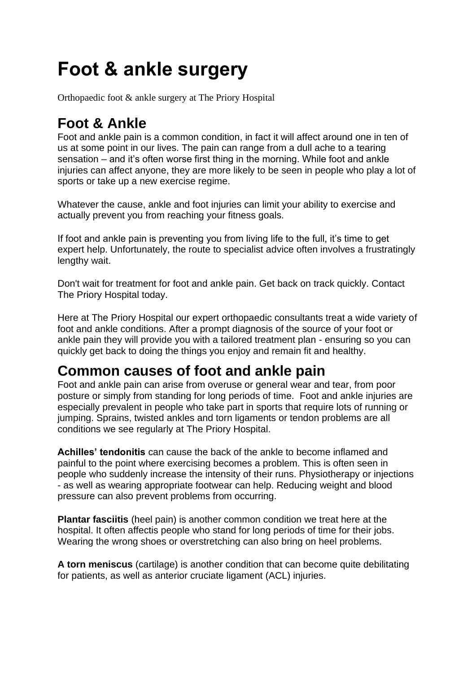# **Foot & ankle surgery**

Orthopaedic foot & ankle surgery at The Priory Hospital

## **Foot & Ankle**

Foot and ankle pain is a common condition, in fact it will affect around one in ten of us at some point in our lives. The pain can range from a dull ache to a tearing sensation – and it's often worse first thing in the morning. While foot and ankle injuries can affect anyone, they are more likely to be seen in people who play a lot of sports or take up a new exercise regime.

Whatever the cause, ankle and foot injuries can limit your ability to exercise and actually prevent you from reaching your fitness goals.

If foot and ankle pain is preventing you from living life to the full, it's time to get expert help. Unfortunately, the route to specialist advice often involves a frustratingly lengthy wait.

Don't wait for treatment for foot and ankle pain. Get back on track quickly. Contact The Priory Hospital today.

Here at The Priory Hospital our expert orthopaedic consultants treat a wide variety of foot and ankle conditions. After a prompt diagnosis of the source of your foot or ankle pain they will provide you with a tailored treatment plan - ensuring so you can quickly get back to doing the things you enjoy and remain fit and healthy.

#### **Common causes of foot and ankle pain**

Foot and ankle pain can arise from overuse or general wear and tear, from poor posture or simply from standing for long periods of time. Foot and ankle injuries are especially prevalent in people who take part in sports that require lots of running or jumping. Sprains, twisted ankles and torn ligaments or tendon problems are all conditions we see regularly at The Priory Hospital.

**Achilles' tendonitis** can cause the back of the ankle to become inflamed and painful to the point where exercising becomes a problem. This is often seen in people who suddenly increase the intensity of their runs. Physiotherapy or injections - as well as wearing appropriate footwear can help. Reducing weight and blood pressure can also prevent problems from occurring.

**Plantar fasciitis** (heel pain) is another common condition we treat here at the hospital. It often affectis people who stand for long periods of time for their jobs. Wearing the wrong shoes or overstretching can also bring on heel problems.

**A torn meniscus** (cartilage) is another condition that can become quite debilitating for patients, as well as anterior cruciate ligament (ACL) injuries.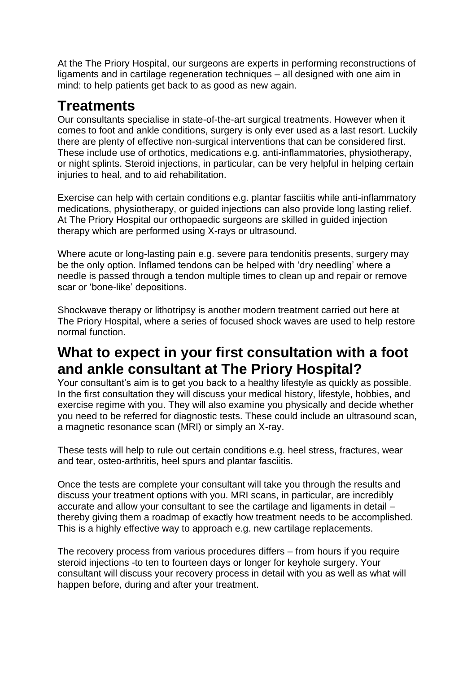At the The Priory Hospital, our surgeons are experts in performing reconstructions of ligaments and in cartilage regeneration techniques – all designed with one aim in mind: to help patients get back to as good as new again.

## **Treatments**

Our consultants specialise in state-of-the-art surgical treatments. However when it comes to foot and ankle conditions, surgery is only ever used as a last resort. Luckily there are plenty of effective non-surgical interventions that can be considered first. These include use of orthotics, medications e.g. anti-inflammatories, physiotherapy, or night splints. Steroid injections, in particular, can be very helpful in helping certain injuries to heal, and to aid rehabilitation.

Exercise can help with certain conditions e.g. plantar fasciitis while anti-inflammatory medications, physiotherapy, or guided injections can also provide long lasting relief. At The Priory Hospital our orthopaedic surgeons are skilled in guided injection therapy which are performed using X-rays or ultrasound.

Where acute or long-lasting pain e.g. severe para tendonitis presents, surgery may be the only option. Inflamed tendons can be helped with 'dry needling' where a needle is passed through a tendon multiple times to clean up and repair or remove scar or 'bone-like' depositions.

Shockwave therapy or lithotripsy is another modern treatment carried out here at The Priory Hospital, where a series of focused shock waves are used to help restore normal function.

### **What to expect in your first consultation with a foot and ankle consultant at The Priory Hospital?**

Your consultant's aim is to get you back to a healthy lifestyle as quickly as possible. In the first consultation they will discuss your medical history, lifestyle, hobbies, and exercise regime with you. They will also examine you physically and decide whether you need to be referred for diagnostic tests. These could include an ultrasound scan, a magnetic resonance scan (MRI) or simply an X-ray.

These tests will help to rule out certain conditions e.g. heel stress, fractures, wear and tear, osteo-arthritis, heel spurs and plantar fasciitis.

Once the tests are complete your consultant will take you through the results and discuss your treatment options with you. MRI scans, in particular, are incredibly accurate and allow your consultant to see the cartilage and ligaments in detail – thereby giving them a roadmap of exactly how treatment needs to be accomplished. This is a highly effective way to approach e.g. new cartilage replacements.

The recovery process from various procedures differs – from hours if you require steroid injections -to ten to fourteen days or longer for keyhole surgery. Your consultant will discuss your recovery process in detail with you as well as what will happen before, during and after your treatment.